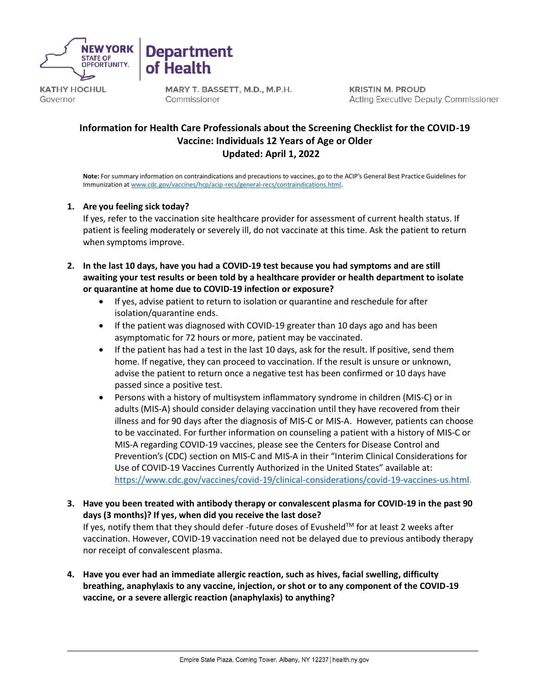

**KATHY HOCHUL** Governor

MARY T. BASSETT, M.D., M.P.H. Commissioner

**Department** 

of Health

**KRISTIN M. PROUD Acting Executive Deputy Commissioner** 

# **Information for Health Care Professionals about the Screening Checklist for the COVID-19 Vaccine: Individuals 12 Years of Age or Older Updated: April 1, 2022**

**Note:** For summary information on contraindications and precautions to vaccines, go to the ACIP's General Best Practice Guidelines for Immunization at [www.cdc.gov/vaccines/hcp/acip-recs/general-recs/contraindications.html.](http://www.cdc.gov/vaccines/hcp/acip-recs/general-recs/contraindications.html)

# **1. Are you feeling sick today?**

If yes, refer to the vaccination site healthcare provider for assessment of current health status. If patient is feeling moderately or severely ill, do not vaccinate at this time. Ask the patient to return when symptoms improve.

- **2. In the last 10 days, have you had a COVID-19 test because you had symptoms and are still awaiting your test results or been told by a healthcare provider or health department to isolate or quarantine at home due to COVID-19 infection or exposure?**
	- If yes, advise patient to return to isolation or quarantine and reschedule for after isolation/quarantine ends.
	- If the patient was diagnosed with COVID-19 greater than 10 days ago and has been asymptomatic for 72 hours or more, patient may be vaccinated.
	- If the patient has had a test in the last 10 days, ask for the result. If positive, send them home. If negative, they can proceed to vaccination. If the result is unsure or unknown, advise the patient to return once a negative test has been confirmed or 10 days have passed since a positive test.
	- Persons with a history of multisystem inflammatory syndrome in children (MIS-C) or in adults (MIS-A) should consider delaying vaccination until they have recovered from their illness and for 90 days after the diagnosis of MIS-C or MIS-A. However, patients can choose to be vaccinated. For further information on counseling a patient with a history of MIS-C or MIS-A regarding COVID-19 vaccines, please see the Centers for Disease Control and Prevention's (CDC) section on MIS-C and MIS-A in their "Interim Clinical Considerations for Use of COVID-19 Vaccines Currently Authorized in the United States" available at: [https://www.cdc.gov/vaccines/covid-19/clinical-considerations/covid-19-vaccines-us.html.](https://www.cdc.gov/vaccines/covid-19/clinical-considerations/covid-19-vaccines-us.html)
- **3. Have you been treated with antibody therapy or convalescent plasma for COVID-19 in the past 90 days (3 months)? If yes, when did you receive the last dose?**

If yes, notify them that they should defer -future doses of Evusheld™ for at least 2 weeks after vaccination. However, COVID-19 vaccination need not be delayed due to previous antibody therapy nor receipt of convalescent plasma.

**4. Have you ever had an immediate allergic reaction, such as hives, facial swelling, difficulty breathing, anaphylaxis to any vaccine, injection, or shot or to any component of the COVID-19 vaccine, or a severe allergic reaction (anaphylaxis) to anything?**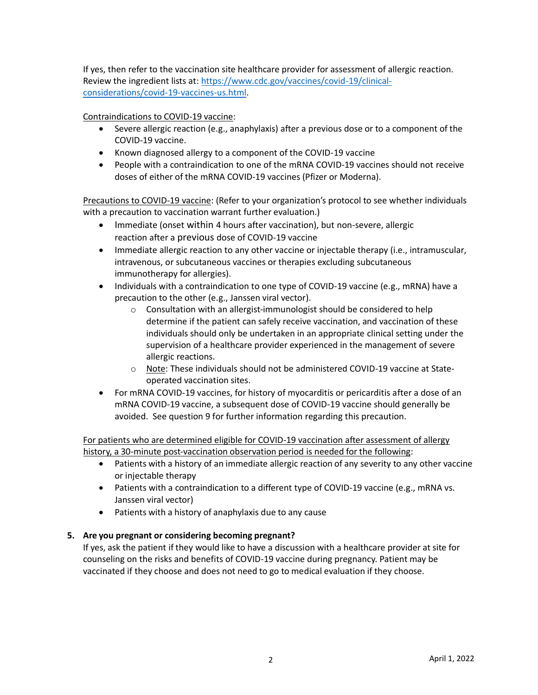If yes, then refer to the vaccination site healthcare provider for assessment of allergic reaction. Review the ingredient lists at: [https://www.cdc.gov/vaccines/covid-19/clinical](https://www.cdc.gov/vaccines/covid-19/clinical-considerations/covid-19-vaccines-us.html)[considerations/covid-19-vaccines-us.html.](https://www.cdc.gov/vaccines/covid-19/clinical-considerations/covid-19-vaccines-us.html)

Contraindications to COVID-19 vaccine:

- Severe allergic reaction (e.g., anaphylaxis) after a previous dose or to a component of the COVID-19 vaccine.
- Known diagnosed allergy to a component of the COVID-19 vaccine
- People with a contraindication to one of the mRNA COVID-19 vaccines should not receive doses of either of the mRNA COVID-19 vaccines (Pfizer or Moderna).

Precautions to COVID-19 vaccine: (Refer to your organization's protocol to see whether individuals with a precaution to vaccination warrant further evaluation.)

- Immediate (onset within 4 hours after vaccination), but non-severe, allergic reaction after a previous dose of COVID-19 vaccine
- Immediate allergic reaction to any other vaccine or injectable therapy (i.e., intramuscular, intravenous, or subcutaneous vaccines or therapies excluding subcutaneous immunotherapy for allergies).
- Individuals with a contraindication to one type of COVID-19 vaccine (e.g., mRNA) have a precaution to the other (e.g., Janssen viral vector).
	- o Consultation with an allergist-immunologist should be considered to help determine if the patient can safely receive vaccination, and vaccination of these individuals should only be undertaken in an appropriate clinical setting under the supervision of a healthcare provider experienced in the management of severe allergic reactions.
	- o Note: These individuals should not be administered COVID-19 vaccine at Stateoperated vaccination sites.
- For mRNA COVID-19 vaccines, for history of myocarditis or pericarditis after a dose of an mRNA COVID-19 vaccine, a subsequent dose of COVID-19 vaccine should generally be avoided. See question 9 for further information regarding this precaution.

For patients who are determined eligible for COVID-19 vaccination after assessment of allergy history, a 30-minute post-vaccination observation period is needed for the following:

- Patients with a history of an immediate allergic reaction of any severity to any other vaccine or injectable therapy
- Patients with a contraindication to a different type of COVID-19 vaccine (e.g., mRNA vs. Janssen viral vector)
- Patients with a history of anaphylaxis due to any cause

# **5. Are you pregnant or considering becoming pregnant?**

If yes, ask the patient if they would like to have a discussion with a healthcare provider at site for counseling on the risks and benefits of COVID-19 vaccine during pregnancy. Patient may be vaccinated if they choose and does not need to go to medical evaluation if they choose.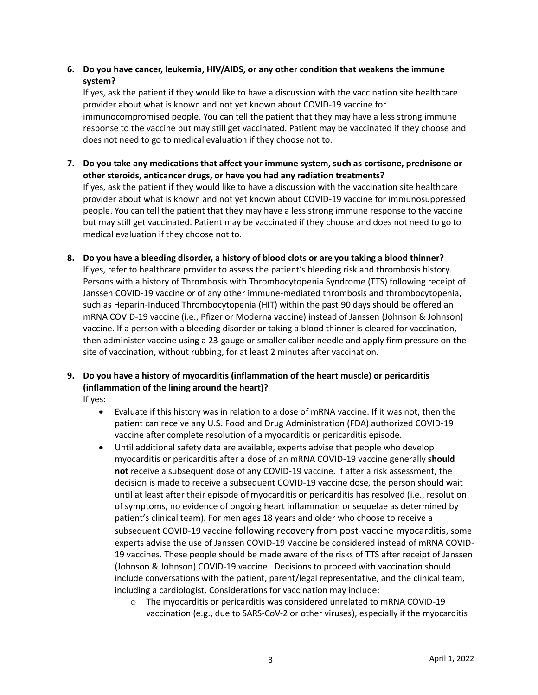# **6. Do you have cancer, leukemia, HIV/AIDS, or any other condition that weakens the immune system?**

If yes, ask the patient if they would like to have a discussion with the vaccination site healthcare provider about what is known and not yet known about COVID-19 vaccine for immunocompromised people. You can tell the patient that they may have a less strong immune response to the vaccine but may still get vaccinated. Patient may be vaccinated if they choose and does not need to go to medical evaluation if they choose not to.

- **7. Do you take any medications that affect your immune system, such as cortisone, prednisone or other steroids, anticancer drugs, or have you had any radiation treatments?** If yes, ask the patient if they would like to have a discussion with the vaccination site healthcare provider about what is known and not yet known about COVID-19 vaccine for immunosuppressed people. You can tell the patient that they may have a less strong immune response to the vaccine but may still get vaccinated. Patient may be vaccinated if they choose and does not need to go to medical evaluation if they choose not to.
- **8. Do you have a bleeding disorder, a history of blood clots or are you taking a blood thinner?** If yes, refer to healthcare provider to assess the patient's bleeding risk and thrombosis history. Persons with a history of Thrombosis with Thrombocytopenia Syndrome (TTS) following receipt of Janssen COVID-19 vaccine or of any other immune-mediated thrombosis and thrombocytopenia, such as Heparin-Induced Thrombocytopenia (HIT) within the past 90 days should be offered an mRNA COVID-19 vaccine (i.e., Pfizer or Moderna vaccine) instead of Janssen (Johnson & Johnson) vaccine. If a person with a bleeding disorder or taking a blood thinner is cleared for vaccination, then administer vaccine using a 23-gauge or smaller caliber needle and apply firm pressure on the site of vaccination, without rubbing, for at least 2 minutes after vaccination.

# **9. Do you have a history of myocarditis (inflammation of the heart muscle) or pericarditis (inflammation of the lining around the heart)?**

If yes:

- Evaluate if this history was in relation to a dose of mRNA vaccine. If it was not, then the patient can receive any U.S. Food and Drug Administration (FDA) authorized COVID-19 vaccine after complete resolution of a myocarditis or pericarditis episode.
- Until additional safety data are available, experts advise that people who develop myocarditis or pericarditis after a dose of an mRNA COVID-19 vaccine generally **should not** receive a subsequent dose of any COVID-19 vaccine. If after a risk assessment, the decision is made to receive a subsequent COVID-19 vaccine dose, the person should wait until at least after their episode of myocarditis or pericarditis has resolved (i.e., resolution of symptoms, no evidence of ongoing heart inflammation or sequelae as determined by patient's clinical team). For men ages 18 years and older who choose to receive a subsequent COVID-19 vaccine following recovery from post-vaccine myocarditis, some experts advise the use of Janssen COVID-19 Vaccine be considered instead of mRNA COVID-19 vaccines. These people should be made aware of the risks of TTS after receipt of Janssen (Johnson & Johnson) COVID-19 vaccine. Decisions to proceed with vaccination should include conversations with the patient, parent/legal representative, and the clinical team, including a cardiologist. Considerations for vaccination may include:
	- $\circ$  The myocarditis or pericarditis was considered unrelated to mRNA COVID-19 vaccination (e.g., due to SARS-CoV-2 or other viruses), especially if the myocarditis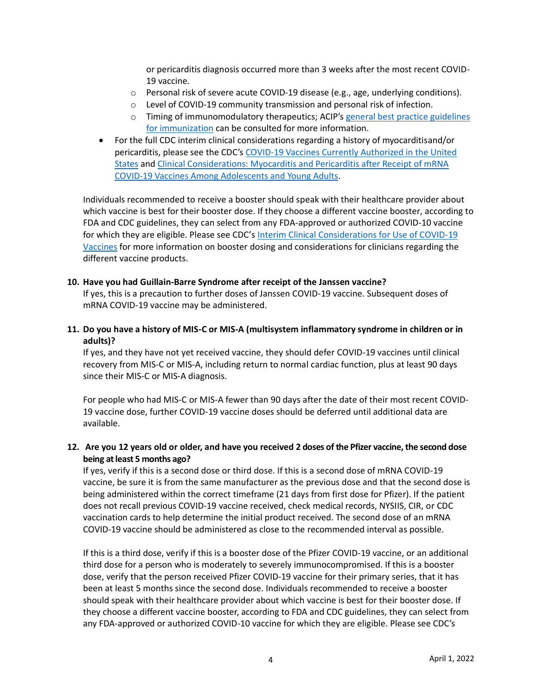or pericarditis diagnosis occurred more than 3 weeks after the most recent COVID-19 vaccine.

- o Personal risk of severe acute COVID-19 disease (e.g., age, underlying conditions).
- o Level of COVID-19 community transmission and personal risk of infection.
- o Timing of immunomodulatory therapeutics; ACIP's [general best practice guidelines](https://www.cdc.gov/vaccines/hcp/acip-recs/general-recs/index.html)  [for immunization](https://www.cdc.gov/vaccines/hcp/acip-recs/general-recs/index.html) can be consulted for more information.
- For the full CDC interim clinical considerations regarding a history of myocarditisand/or pericarditis, please see the CDC's [COVID-19 Vaccines Currently Authorized in the United](https://www.cdc.gov/coronavirus/2019-ncov/vaccines/different-vaccines.html)  [States](https://www.cdc.gov/coronavirus/2019-ncov/vaccines/different-vaccines.html) and [Clinical Considerations: Myocarditis and Pericarditis after Receipt of mRNA](https://www.cdc.gov/vaccines/covid-19/clinical-considerations/myocarditis.html)  COVID-19 Vaccines Among [Adolescents and](https://www.cdc.gov/vaccines/covid-19/clinical-considerations/myocarditis.html) Young Adults.

Individuals recommended to receive a booster should speak with their healthcare provider about which vaccine is best for their booster dose. If they choose a different vaccine booster, according to FDA and CDC guidelines, they can select from any FDA-approved or authorized COVID-10 vaccine for which they are eligible. Please see CDC's [Interim Clinical Considerations for Use of COVID-19](https://www.cdc.gov/vaccines/covid-19/clinical-considerations/covid-19-vaccines-us.html)  [Vaccines](https://www.cdc.gov/vaccines/covid-19/clinical-considerations/covid-19-vaccines-us.html) for more information on booster dosing and considerations for clinicians regarding the different vaccine products.

#### **10. Have you had Guillain-Barre Syndrome after receipt of the Janssen vaccine?**

If yes, this is a precaution to further doses of Janssen COVID-19 vaccine. Subsequent doses of mRNA COVID-19 vaccine may be administered.

**11. Do you have a history of MIS-C or MIS-A (multisystem inflammatory syndrome in children or in adults)?** 

If yes, and they have not yet received vaccine, they should defer COVID-19 vaccines until clinical recovery from MIS-C or MIS-A, including return to normal cardiac function, plus at least 90 days since their MIS-C or MIS-A diagnosis.

For people who had MIS-C or MIS-A fewer than 90 days after the date of their most recent COVID-19 vaccine dose, further COVID-19 vaccine doses should be deferred until additional data are available.

# **12. Are you 12 years old or older, and have you received 2 doses of the Pfizer vaccine, the second dose being at least 5 months ago?**

If yes, verify if this is a second dose or third dose. If this is a second dose of mRNA COVID-19 vaccine, be sure it is from the same manufacturer as the previous dose and that the second dose is being administered within the correct timeframe (21 days from first dose for Pfizer). If the patient does not recall previous COVID-19 vaccine received, check medical records, NYSIIS, CIR, or CDC vaccination cards to help determine the initial product received. The second dose of an mRNA COVID-19 vaccine should be administered as close to the recommended interval as possible.

If this is a third dose, verify if this is a booster dose of the Pfizer COVID-19 vaccine, or an additional third dose for a person who is moderately to severely immunocompromised. If this is a booster dose, verify that the person received Pfizer COVID-19 vaccine for their primary series, that it has been at least 5 months since the second dose. Individuals recommended to receive a booster should speak with their healthcare provider about which vaccine is best for their booster dose. If they choose a different vaccine booster, according to FDA and CDC guidelines, they can select from any FDA-approved or authorized COVID-10 vaccine for which they are eligible. Please see CDC's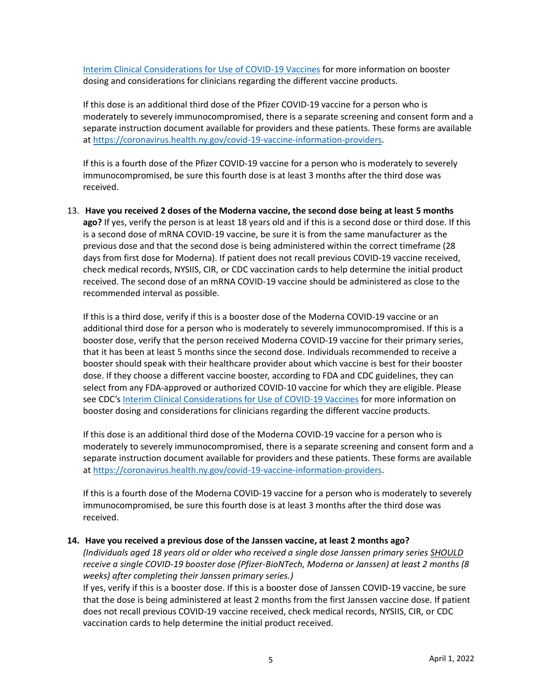[Interim Clinical Considerations for Use of COVID-19 Vaccines](https://www.cdc.gov/vaccines/covid-19/clinical-considerations/covid-19-vaccines-us.html) for more information on booster dosing and considerations for clinicians regarding the different vaccine products.

If this dose is an additional third dose of the Pfizer COVID-19 vaccine for a person who is moderately to severely immunocompromised, there is a separate screening and consent form and a separate instruction document available for providers and these patients. These forms are available at [https://coronavirus.health.ny.gov/covid-19-vaccine-information-providers.](https://coronavirus.health.ny.gov/covid-19-vaccine-information-providers)

If this is a fourth dose of the Pfizer COVID-19 vaccine for a person who is moderately to severely immunocompromised, be sure this fourth dose is at least 3 months after the third dose was received.

13. **Have you received 2 doses of the Moderna vaccine, the second dose being at least 5 months ago?** If yes, verify the person is at least 18 years old and if this is a second dose or third dose. If this is a second dose of mRNA COVID-19 vaccine, be sure it is from the same manufacturer as the previous dose and that the second dose is being administered within the correct timeframe (28 days from first dose for Moderna). If patient does not recall previous COVID-19 vaccine received, check medical records, NYSIIS, CIR, or CDC vaccination cards to help determine the initial product received. The second dose of an mRNA COVID-19 vaccine should be administered as close to the recommended interval as possible.

If this is a third dose, verify if this is a booster dose of the Moderna COVID-19 vaccine or an additional third dose for a person who is moderately to severely immunocompromised. If this is a booster dose, verify that the person received Moderna COVID-19 vaccine for their primary series, that it has been at least 5 months since the second dose. Individuals recommended to receive a booster should speak with their healthcare provider about which vaccine is best for their booster dose. If they choose a different vaccine booster, according to FDA and CDC guidelines, they can select from any FDA-approved or authorized COVID-10 vaccine for which they are eligible. Please see CDC's [Interim Clinical Considerations for Use of COVID-19 Vaccines](https://coronavirus.health.ny.gov/covid-19-vaccine-information-providers) for more information on booster dosing and considerations for clinicians regarding the different vaccine products.

If this dose is an additional third dose of the Moderna COVID-19 vaccine for a person who is moderately to severely immunocompromised, there is a separate screening and consent form and a separate instruction document available for providers and these patients. These forms are available at [https://coronavirus.health.ny.gov/covid-19-vaccine-information-providers.](https://coronavirus.health.ny.gov/covid-19-vaccine-information-providers)

If this is a fourth dose of the Moderna COVID-19 vaccine for a person who is moderately to severely immunocompromised, be sure this fourth dose is at least 3 months after the third dose was received.

### **14. Have you received a previous dose of the Janssen vaccine, at least 2 months ago?**

*(Individuals aged 18 years old or older who received a single dose Janssen primary series SHOULD receive a single COVID-19 booster dose (Pfizer-BioNTech, Moderna or Janssen) at least 2 months (8 weeks) after completing their Janssen primary series.)* 

If yes, verify if this is a booster dose. If this is a booster dose of Janssen COVID-19 vaccine, be sure that the dose is being administered at least 2 months from the first Janssen vaccine dose. If patient does not recall previous COVID-19 vaccine received, check medical records, NYSIIS, CIR, or CDC vaccination cards to help determine the initial product received.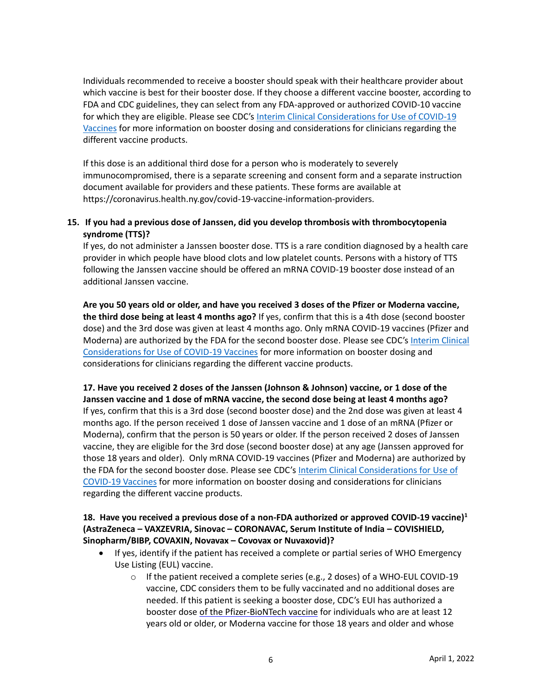Individuals recommended to receive a booster should speak with their healthcare provider about which vaccine is best for their booster dose. If they choose a different vaccine booster, according to FDA and CDC guidelines, they can select from any FDA-approved or authorized COVID-10 vaccine for which they are eligible. Please see CDC's [Interim Clinical Considerations for Use of COVID-19](https://coronavirus.health.ny.gov/covid-19-vaccine-information-providers)  [Vaccines](https://coronavirus.health.ny.gov/covid-19-vaccine-information-providers) for more information on booster dosing and considerations for clinicians regarding the different vaccine products.

If this dose is an additional third dose for a person who is moderately to severely immunocompromised, there is a separate screening and consent form and a separate instruction document available for providers and these patients. These forms are available at https://coronavirus.health.ny.gov/covid-19-vaccine-information-providers.

# **15. If you had a previous dose of Janssen, did you develop thrombosis with thrombocytopenia syndrome (TTS)?**

If yes, do not administer a Janssen booster dose. TTS is a rare condition diagnosed by a health care provider in which people have blood clots and low platelet counts. Persons with a history of TTS following the Janssen vaccine should be offered an mRNA COVID-19 booster dose instead of an additional Janssen vaccine.

**Are you 50 years old or older, and have you received 3 doses of the Pfizer or Moderna vaccine, the third dose being at least 4 months ago?** If yes, confirm that this is a 4th dose (second booster dose) and the 3rd dose was given at least 4 months ago. Only mRNA COVID-19 vaccines (Pfizer and Moderna) are authorized by the FDA for the second booster dose. Please see CDC's [Interim Clinical](https://coronavirus.health.ny.gov/covid-19-vaccine-information-providers)  [Considerations for Use of COVID-19 Vaccines](https://coronavirus.health.ny.gov/covid-19-vaccine-information-providers) for more information on booster dosing and considerations for clinicians regarding the different vaccine products.

**17. Have you received 2 doses of the Janssen (Johnson & Johnson) vaccine, or 1 dose of the Janssen vaccine and 1 dose of mRNA vaccine, the second dose being at least 4 months ago?** If yes, confirm that this is a 3rd dose (second booster dose) and the 2nd dose was given at least 4 months ago. If the person received 1 dose of Janssen vaccine and 1 dose of an mRNA (Pfizer or Moderna), confirm that the person is 50 years or older. If the person received 2 doses of Janssen vaccine, they are eligible for the 3rd dose (second booster dose) at any age (Janssen approved for those 18 years and older). Only mRNA COVID-19 vaccines (Pfizer and Moderna) are authorized by the FDA for the second booster dose. Please see CDC'[s Interim Clinical Considerations for Use of](https://coronavirus.health.ny.gov/covid-19-vaccine-information-providers)  [COVID-19 Vaccines](https://coronavirus.health.ny.gov/covid-19-vaccine-information-providers) for more information on booster dosing and considerations for clinicians regarding the different vaccine products.

## **18. Have you received a previous dose of a non-FDA authorized or approved COVID-19 vaccine) 1 (AstraZeneca – VAXZEVRIA, Sinovac – CORONAVAC, Serum Institute of India – COVISHIELD, Sinopharm/BIBP, COVAXIN, Novavax – Covovax or Nuvaxovid)?**

- If yes, identify if the patient has received a complete or partial series of WHO Emergency Use Listing (EUL) vaccine.
	- $\circ$  If the patient received a complete series (e.g., 2 doses) of a WHO-EUL COVID-19 vaccine, CDC considers them to be fully vaccinated and no additional doses are needed. If this patient is seeking a booster dose, CDC's EUI has authorized a booster dose of the Pfizer-BioNTech vaccine for individuals who are at least 12 years old or older, or Moderna vaccine for those 18 years and older and whose